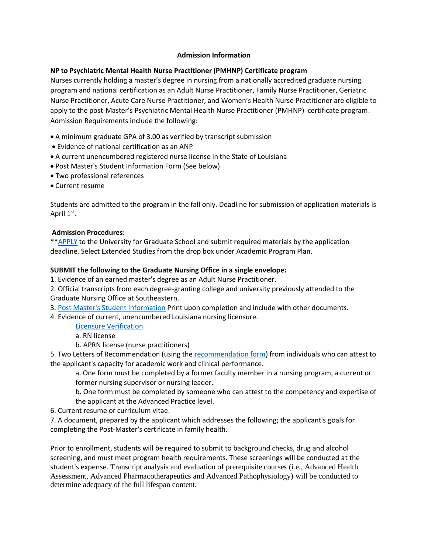# **Admission Information**

# **NP to Psychiatric Mental Health Nurse Practitioner (PMHNP) Certificate program**

Nurses currently holding a master's degree in nursing from a nationally accredited graduate nursing program and national certification as an Adult Nurse Practitioner, Family Nurse Practitioner, Geriatric Nurse Practitioner, Acute Care Nurse Practitioner, and Women's Health Nurse Practitioner are eligible to apply to the post-Master's Psychiatric Mental Health Nurse Practitioner (PMHNP) certificate program. Admission Requirements include the following:

- A minimum graduate GPA of 3.00 as verified by transcript submission
- Evidence of national certification as an ANP
- A current unencumbered registered nurse license in the State of Louisiana
- Post Master's Student Information Form (See below)
- Two professional references
- Current resume

Students are admitted to the program in the fall only. Deadline for submission of application materials is April 1<sup>st</sup>.

### **Admission Procedures:**

\*[\\*APPLY](http://www.southeastern.edu/apply/graduate/index.html) to the University for Graduate School and submit required materials by the application deadline. Select Extended Studies from the drop box under Academic Program Plan.

### **SUBMIT the following to the Graduate Nursing Office in a single envelope:**

1. Evidence of an earned master's degree as an Adult Nurse Practitioner.

2. Official transcripts from each degree-granting college and university previously attended to the Graduate Nursing Office at Southeastern.

3. [Post Master's Student Information](http://www.southeastern.edu/acad_research/depts/nurs/graduate_nursing_programs/post_msn/admission/assets/post_msn_student.pdf) Print upon completion and include with other documents.

4. Evidence of current, unencumbered Louisiana nursing licensure.

[Licensure Verification](https://services.lsbn.state.la.us/services/service.asp?s=1&sid=8)

a. RN license

b. APRN license (nurse practitioners)

5. Two Letters of Recommendation (using the [recommendation form\)](http://www.southeastern.edu/acad_research/depts/nurs/graduate_nursing_programs/grad_degree/admissions/Reference_form_Revised_MSN.pdf) from individuals who can attest to the applicant's capacity for academic work and clinical performance.

a. One form must be completed by a former faculty member in a nursing program, a current or former nursing supervisor or nursing leader.

b. One form must be completed by someone who can attest to the competency and expertise of the applicant at the Advanced Practice level.

6. Current resume or curriculum vitae.

7. A document, prepared by the applicant which addresses the following; the applicant's goals for completing the Post-Master's certificate in family health.

Prior to enrollment, students will be required to submit to background checks, drug and alcohol screening, and must meet program health requirements. These screenings will be conducted at the student's expense. Transcript analysis and evaluation of prerequisite courses (i.e., Advanced Health Assessment, Advanced Pharmacotherapeutics and Advanced Pathophysiology) will be conducted to determine adequacy of the full lifespan content.